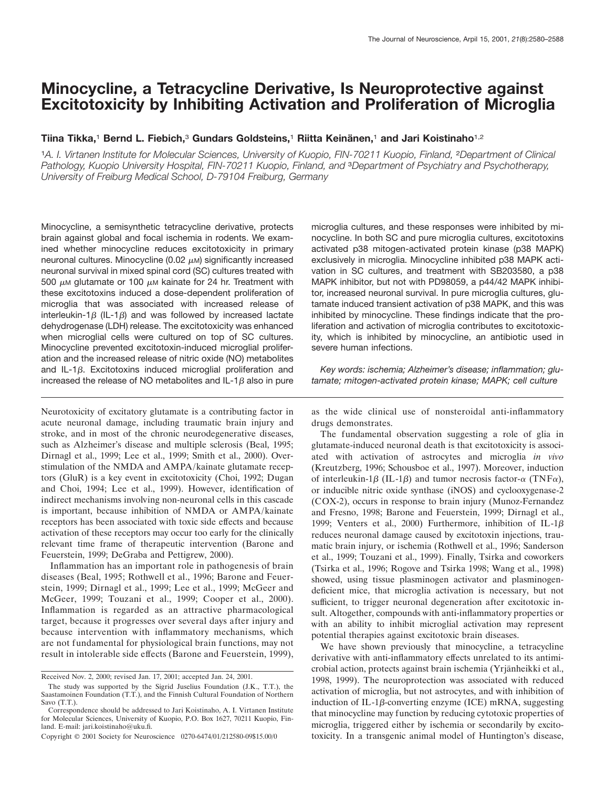# **Minocycline, a Tetracycline Derivative, Is Neuroprotective against Excitotoxicity by Inhibiting Activation and Proliferation of Microglia**

# **Tiina Tikka,**<sup>1</sup> **Bernd L. Fiebich,**<sup>3</sup> **Gundars Goldsteins,**<sup>1</sup> **Riitta Keina¨ nen,**<sup>1</sup> **and Jari Koistinaho**1,2

<sup>1</sup>*A. I. Virtanen Institute for Molecular Sciences, University of Kuopio, FIN-70211 Kuopio, Finland,* <sup>2</sup>*Department of Clinical Pathology, Kuopio University Hospital, FIN-70211 Kuopio, Finland, and* <sup>3</sup>*Department of Psychiatry and Psychotherapy, University of Freiburg Medical School, D-79104 Freiburg, Germany*

Minocycline, a semisynthetic tetracycline derivative, protects brain against global and focal ischemia in rodents. We examined whether minocycline reduces excitotoxicity in primary neuronal cultures. Minocycline (0.02  $\mu$ M) significantly increased neuronal survival in mixed spinal cord (SC) cultures treated with 500  $\mu$ M glutamate or 100  $\mu$ M kainate for 24 hr. Treatment with these excitotoxins induced a dose-dependent proliferation of microglia that was associated with increased release of interleukin-1 $\beta$  (IL-1 $\beta$ ) and was followed by increased lactate dehydrogenase (LDH) release. The excitotoxicity was enhanced when microglial cells were cultured on top of SC cultures. Minocycline prevented excitotoxin-induced microglial proliferation and the increased release of nitric oxide (NO) metabolites and IL-1 $\beta$ . Excitotoxins induced microglial proliferation and increased the release of NO metabolites and IL-1 $\beta$  also in pure

Neurotoxicity of excitatory glutamate is a contributing factor in acute neuronal damage, including traumatic brain injury and stroke, and in most of the chronic neurodegenerative diseases, such as Alzheimer's disease and multiple sclerosis (Beal, 1995; Dirnagl et al., 1999; Lee et al., 1999; Smith et al., 2000). Overstimulation of the NMDA and AMPA/kainate glutamate receptors (GluR) is a key event in excitotoxicity (Choi, 1992; Dugan and Choi, 1994; Lee et al., 1999). However, identification of indirect mechanisms involving non-neuronal cells in this cascade is important, because inhibition of NMDA or AMPA/kainate receptors has been associated with toxic side effects and because activation of these receptors may occur too early for the clinically relevant time frame of therapeutic intervention (Barone and Feuerstein, 1999; DeGraba and Pettigrew, 2000).

Inflammation has an important role in pathogenesis of brain diseases (Beal, 1995; Rothwell et al., 1996; Barone and Feuerstein, 1999; Dirnagl et al., 1999; Lee et al., 1999; McGeer and McGeer, 1999; Touzani et al., 1999; Cooper et al., 2000). Inflammation is regarded as an attractive pharmacological target, because it progresses over several days after injury and because intervention with inflammatory mechanisms, which are not fundamental for physiological brain functions, may not result in intolerable side effects (Barone and Feuerstein, 1999), microglia cultures, and these responses were inhibited by minocycline. In both SC and pure microglia cultures, excitotoxins activated p38 mitogen-activated protein kinase (p38 MAPK) exclusively in microglia. Minocycline inhibited p38 MAPK activation in SC cultures, and treatment with SB203580, a p38 MAPK inhibitor, but not with PD98059, a p44/42 MAPK inhibitor, increased neuronal survival. In pure microglia cultures, glutamate induced transient activation of p38 MAPK, and this was inhibited by minocycline. These findings indicate that the proliferation and activation of microglia contributes to excitotoxicity, which is inhibited by minocycline, an antibiotic used in severe human infections.

*Key words: ischemia; Alzheimer's disease; inflammation; glutamate; mitogen-activated protein kinase; MAPK; cell culture*

as the wide clinical use of nonsteroidal anti-inflammatory drugs demonstrates.

The fundamental observation suggesting a role of glia in glutamate-induced neuronal death is that excitotoxicity is associated with activation of astrocytes and microglia *in vivo* (Kreutzberg, 1996; Schousboe et al., 1997). Moreover, induction of interleukin-1 $\beta$  (IL-1 $\beta$ ) and tumor necrosis factor- $\alpha$  (TNF $\alpha$ ), or inducible nitric oxide synthase (iNOS) and cyclooxygenase-2 (COX-2), occurs in response to brain injury (Munoz-Fernandez and Fresno, 1998; Barone and Feuerstein, 1999; Dirnagl et al., 1999; Venters et al., 2000) Furthermore, inhibition of IL-1 $\beta$ reduces neuronal damage caused by excitotoxin injections, traumatic brain injury, or ischemia (Rothwell et al., 1996; Sanderson et al., 1999; Touzani et al., 1999). Finally, Tsirka and coworkers (Tsirka et al., 1996; Rogove and Tsirka 1998; Wang et al., 1998) showed, using tissue plasminogen activator and plasminogendeficient mice, that microglia activation is necessary, but not sufficient, to trigger neuronal degeneration after excitotoxic insult. Altogether, compounds with anti-inflammatory properties or with an ability to inhibit microglial activation may represent potential therapies against excitotoxic brain diseases.

We have shown previously that minocycline, a tetracycline derivative with anti-inflammatory effects unrelated to its antimicrobial action, protects against brain ischemia (Yrjänheikki et al., 1998, 1999). The neuroprotection was associated with reduced activation of microglia, but not astrocytes, and with inhibition of induction of IL-1 $\beta$ -converting enzyme (ICE) mRNA, suggesting that minocycline may function by reducing cytotoxic properties of microglia, triggered either by ischemia or secondarily by excitotoxicity. In a transgenic animal model of Huntington's disease,

Received Nov. 2, 2000; revised Jan. 17, 2001; accepted Jan. 24, 2001.

The study was supported by the Sigrid Juselius Foundation (J.K., T.T.), the Saastamoinen Foundation (T.T.), and the Finnish Cultural Foundation of Northern Savo (T.T.).

Correspondence should be addressed to Jari Koistinaho, A. I. Virtanen Institute for Molecular Sciences, University of Kuopio, P.O. Box 1627, 70211 Kuopio, Finland. E-mail: jari.koistinaho@uku.fi.

Copyright © 2001 Society for Neuroscience 0270-6474/01/212580-09\$15.00/0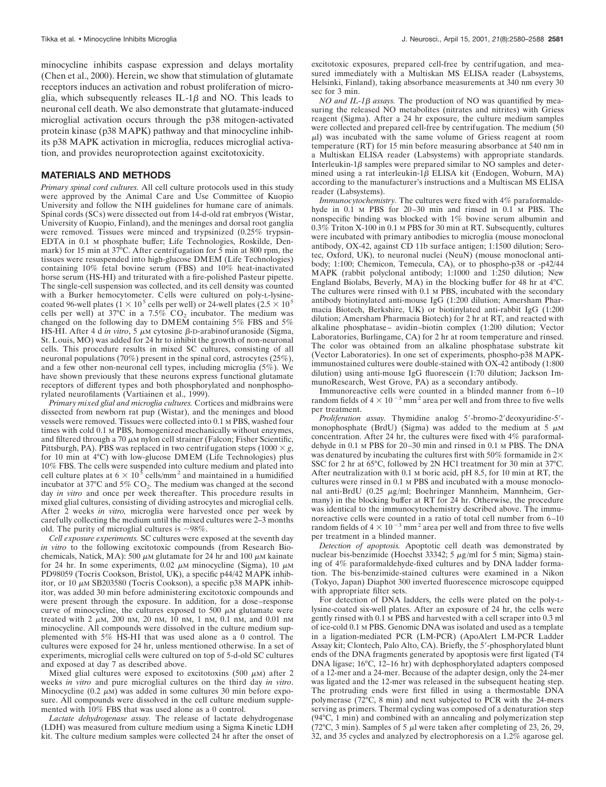minocycline inhibits caspase expression and delays mortality (Chen et al., 2000). Herein, we show that stimulation of glutamate receptors induces an activation and robust proliferation of microglia, which subsequently releases IL-1 $\beta$  and NO. This leads to neuronal cell death. We also demonstrate that glutamate-induced microglial activation occurs through the p38 mitogen-activated protein kinase (p38 MAPK) pathway and that minocycline inhibits p38 MAPK activation in microglia, reduces microglial activation, and provides neuroprotection against excitotoxicity.

#### **MATERIALS AND METHODS**

*Primary spinal cord cultures.* All cell culture protocols used in this study were approved by the Animal Care and Use Committee of Kuopio University and follow the NIH guidelines for humane care of animals. Spinal cords (SCs) were dissected out from 14-d-old rat embryos (Wistar, University of Kuopio, Finland), and the meninges and dorsal root ganglia were removed. Tissues were minced and trypsinized (0.25% trypsin-EDTA in 0.1 M phosphate buffer; Life Technologies, Roskilde, Denmark) for 15 min at 37°C. After centrifugation for 5 min at 800 rpm, the tissues were resuspended into high-glucose DMEM (Life Technologies) containing 10% fetal bovine serum (FBS) and 10% heat-inactivated horse serum (HS-HI) and triturated with a fire-polished Pasteur pipette. The single-cell suspension was collected, and its cell density was counted with a Burker hemocytometer. Cells were cultured on poly-L-lysinecoated 96-well plates ( $1 \times 10^5$  cells per well) or 24-well plates ( $2.5 \times 10^5$ cells per well) at 37°C in a 7.5%  $CO<sub>2</sub>$  incubator. The medium was changed on the following day to DMEM containing 5% FBS and 5% HS-HI. After 4 d *in vitro*, 5  $\mu$ M cytosine  $\beta$ -D-arabinofuranoside (Sigma, St. Louis, MO) was added for 24 hr to inhibit the growth of non-neuronal cells. This procedure results in mixed SC cultures, consisting of all neuronal populations (70%) present in the spinal cord, astrocytes (25%), and a few other non-neuronal cell types, including microglia (5%). We have shown previously that these neurons express functional glutamate receptors of different types and both phosphorylated and nonphosphorylated neurofilaments (Vartiainen et al., 1999).

*Primary mixed glial and microglia cultures.* Cortices and midbrains were dissected from newborn rat pup (Wistar), and the meninges and blood vessels were removed. Tissues were collected into 0.1 M PBS, washed four times with cold 0.1 M PBS, homogenized mechanically without enzymes, and filtered through a 70  $\mu$ M nylon cell strainer (Falcon; Fisher Scientific, Pittsburgh, PA). PBS was replaced in two centrifugation steps  $(1000 \times g,$ for 10 min at 4°C) with low-glucose DMEM (Life Technologies) plus 10% FBS. The cells were suspended into culture medium and plated into cell culture plates at  $6 \times 10^5$  cells/mm<sup>2</sup> and maintained in a humidified incubator at  $37^{\circ}$ C and  $5\%$  CO<sub>2</sub>. The medium was changed at the second day *in vitro* and once per week thereafter. This procedure results in mixed glial cultures, consisting of dividing astrocytes and microglial cells. After 2 weeks *in vitro,* microglia were harvested once per week by carefully collecting the medium until the mixed cultures were 2–3 months old. The purity of microglial cultures is  $\sim$ 98%.

*Cell exposure experiments.* SC cultures were exposed at the seventh day *in vitro* to the following excitotoxic compounds (from Research Biochemicals, Natick, MA): 500  $\mu$ M glutamate for 24 hr and 100  $\mu$ M kainate for 24 hr. In some experiments, 0.02  $\mu$ M minocycline (Sigma), 10  $\mu$ M PD98059 (Tocris Cookson, Bristol, UK), a specific p44/42 MAPK inhibitor, or 10  $\mu$ M SB203580 (Tocris Cookson), a specific p38 MAPK inhibitor, was added 30 min before administering excitotoxic compounds and were present through the exposure. In addition, for a dose–response curve of minocycline, the cultures exposed to 500  $\mu$ M glutamate were treated with 2  $\mu$ M, 200 nM, 20 nM, 10 nM, 1 nM, 0.1 nM, and 0.01 nM minocycline. All compounds were dissolved in the culture medium supplemented with 5% HS-HI that was used alone as a 0 control. The cultures were exposed for 24 hr, unless mentioned otherwise. In a set of experiments, microglial cells were cultured on top of 5-d-old SC cultures and exposed at day 7 as described above.

Mixed glial cultures were exposed to excitotoxins (500  $\mu$ M) after 2 weeks *in vitro* and pure microglial cultures on the third day *in vitro*. Minocycline (0.2  $\mu$ M) was added in some cultures 30 min before exposure. All compounds were dissolved in the cell culture medium supplemented with 10% FBS that was used alone as a 0 control.

*Lactate dehydrogenase assay.* The release of lactate dehydrogenase (LDH) was measured from culture medium using a Sigma Kinetic LDH kit. The culture medium samples were collected 24 hr after the onset of excitotoxic exposures, prepared cell-free by centrifugation, and measured immediately with a Multiskan MS ELISA reader (Labsystems, Helsinki, Finland), taking absorbance measurements at 340 nm every 30 sec for 3 min.

*NO and IL-1B assays.* The production of NO was quantified by measuring the released NO metabolites (nitrates and nitrites) with Griess reagent (Sigma). After a 24 hr exposure, the culture medium samples were collected and prepared cell-free by centrifugation. The medium (50  $\mu$ ) was incubated with the same volume of Griess reagent at room temperature (RT) for 15 min before measuring absorbance at 540 nm in a Multiskan ELISA reader (Labsystems) with appropriate standards. Interleukin-1 $\beta$  samples were prepared similar to NO samples and determined using a rat interleukin-1 $\beta$  ELISA kit (Endogen, Woburn, MA) according to the manufacturer's instructions and a Multiscan MS ELISA reader (Labsystems).

*Immunocytochemistry.* The cultures were fixed with 4% paraformaldehyde in  $0.1$  M PBS for  $20-30$  min and rinsed in  $0.1$  M PBS. The nonspecific binding was blocked with 1% bovine serum albumin and 0.3% Triton X-100 in 0.1 M PBS for 30 min at RT. Subsequently, cultures were incubated with primary antibodies to microglia (mouse monoclonal antibody, OX-42, against CD 11b surface antigen; 1:1500 dilution; Serotec, Oxford, UK), to neuronal nuclei (NeuN) (mouse monoclonal antibody; 1:100; Chemicon, Temecula, CA), or to phospho-p38 or -p42/44 MAPK (rabbit polyclonal antibody; 1:1000 and 1:250 dilution; New England Biolabs, Beverly, MA) in the blocking buffer for 48 hr at 4°C. The cultures were rinsed with 0.1 M PBS, incubated with the secondary antibody biotinylated anti-mouse IgG (1:200 dilution; Amersham Pharmacia Biotech, Berkshire, UK) or biotinylated anti-rabbit IgG (1:200 dilution; Amersham Pharmacia Biotech) for 2 hr at RT, and reacted with alkaline phosphatase– avidin–biotin complex (1:200 dilution; Vector Laboratories, Burlingame, CA) for 2 hr at room temperature and rinsed. The color was obtained from an alkaline phosphatase substrate kit (Vector Laboratories). In one set of experiments, phospho-p38 MAPKimmunostained cultures were double-stained with OX-42 antibody (1:800 dilution) using anti-mouse IgG fluorescein (1:70 dilution; Jackson ImmunoResearch, West Grove, PA) as a secondary antibody.

Immunoreactive cells were counted in a blinded manner from 6–10 random fields of  $4 \times 10^{-3}$  mm<sup>2</sup> area per well and from three to five wells per treatment.

*Proliferation assay.* Thymidine analog 5'-bromo-2'deoxyuridine-5'monophosphate (BrdU) (Sigma) was added to the medium at 5  $\mu$ M concentration. After 24 hr, the cultures were fixed with 4% paraformaldehyde in 0.1 M PBS for 20–30 min and rinsed in 0.1 M PBS. The DNA was denatured by incubating the cultures first with 50% formamide in  $2\times$ SSC for 2 hr at 65°C, followed by 2N HCl treatment for 30 min at 37°C. After neutralization with 0.1 M boric acid, pH 8.5, for 10 min at RT, the cultures were rinsed in 0.1 M PBS and incubated with a mouse monoclonal anti-BrdU (0.25 µg/ml; Boehringer Mannheim, Mannheim, Germany) in the blocking buffer at RT for 24 hr. Otherwise, the procedure was identical to the immunocytochemistry described above. The immunoreactive cells were counted in a ratio of total cell number from 6–10 random fields of  $4 \times 10^{-3}$  mm<sup>2</sup> area per well and from three to five wells per treatment in a blinded manner.

*Detection of apoptosis.* Apoptotic cell death was demonstrated by nuclear bis-benzimide (Hoechst 33342; 5  $\mu$ g/ml for 5 min; Sigma) staining of 4% paraformaldehyde-fixed cultures and by DNA ladder formation. The bis-benzimide-stained cultures were examined in a Nikon (Tokyo, Japan) Diaphot 300 inverted fluorescence microscope equipped with appropriate filter sets.

For detection of DNA ladders, the cells were plated on the poly-Llysine-coated six-well plates. After an exposure of 24 hr, the cells were gently rinsed with 0.1 M PBS and harvested with a cell scraper into 0.3 ml of ice-cold 0.1 M PBS. Genomic DNA was isolated and used as a template in a ligation-mediated PCR (LM-PCR) (ApoAlert LM-PCR Ladder Assay kit; Clontech, Palo Alto, CA). Briefly, the 5'-phosphorylated blunt ends of the DNA fragments generated by apoptosis were first ligated (T4 DNA ligase; 16°C, 12–16 hr) with dephosphorylated adapters composed of a 12-mer and a 24-mer. Because of the adapter design, only the 24-mer was ligated and the 12-mer was released in the subsequent heating step. The protruding ends were first filled in using a thermostable DNA polymerase (72°C, 8 min) and next subjected to PCR with the 24-mers serving as primers. Thermal cycling was composed of a denaturation step (94°C, 1 min) and combined with an annealing and polymerization step (72°C, 3 min). Samples of 5  $\mu$ l were taken after completing of 23, 26, 29, 32, and 35 cycles and analyzed by electrophoresis on a 1.2% agarose gel.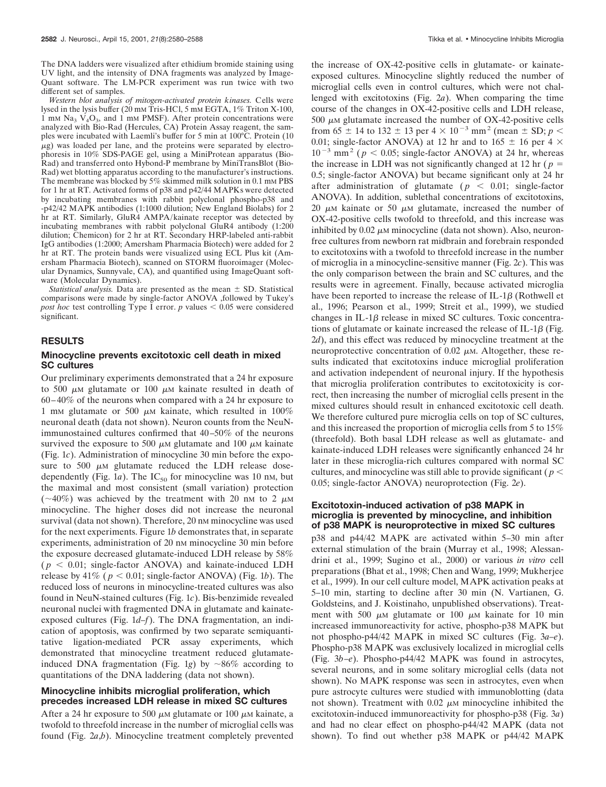The DNA ladders were visualized after ethidium bromide staining using UV light, and the intensity of DNA fragments was analyzed by Image-Quant software. The LM-PCR experiment was run twice with two different set of samples.

*Western blot analysis of mitogen-activated protein kinases.* Cells were lysed in the lysis buffer (20 mM Tris-HCl, 5 mM EGTA, 1% Triton X-100, 1 mm Na<sub>3</sub>  $V_4O_3$ , and 1 mm PMSF). After protein concentrations were analyzed with Bio-Rad (Hercules, CA) Protein Assay reagent, the samples were incubated with Laemli's buffer for 5 min at 100°C. Protein (10  $\mu$ g) was loaded per lane, and the proteins were separated by electrophoresis in 10% SDS-PAGE gel, using a MiniProtean apparatus (Bio-Rad) and transferred onto Hybond-P membrane by MiniTransBlot (Bio-Rad) wet blotting apparatus according to the manufacturer's instructions. The membrane was blocked by  $5\%$  skimmed milk solution in 0.1 mm PBS for 1 hr at RT. Activated forms of p38 and p42/44 MAPKs were detected by incubating membranes with rabbit polyclonal phospho-p38 and -p42/42 MAPK antibodies (1:1000 dilution; New England Biolabs) for 2 hr at RT. Similarly, GluR4 AMPA/kainate receptor was detected by incubating membranes with rabbit polyclonal GluR4 antibody (1:200 dilution; Chemicon) for 2 hr at RT. Secondary HRP-labeled anti-rabbit IgG antibodies (1:2000; Amersham Pharmacia Biotech) were added for 2 hr at RT. The protein bands were visualized using ECL Plus kit (Amersham Pharmacia Biotech), scanned on STORM fluoroimager (Molecular Dynamics, Sunnyvale, CA), and quantified using ImageQuant software (Molecular Dynamics).

*Statistical analysis.* Data are presented as the mean  $\pm$  SD. Statistical comparisons were made by single-factor ANOVA ,followed by Tukey's *post hoc* test controlling Type I error.  $p$  values  $< 0.05$  were considered significant.

#### **RESULTS**

### **Minocycline prevents excitotoxic cell death in mixed SC cultures**

Our preliminary experiments demonstrated that a 24 hr exposure to 500  $\mu$ M glutamate or 100  $\mu$ M kainate resulted in death of 60–40% of the neurons when compared with a 24 hr exposure to 1 mm glutamate or 500  $\mu$ m kainate, which resulted in 100% neuronal death (data not shown). Neuron counts from the NeuNimmunostained cultures confirmed that 40–50% of the neurons survived the exposure to 500  $\mu$ M glutamate and 100  $\mu$ M kainate (Fig. 1*c*). Administration of minocycline 30 min before the exposure to 500  $\mu$ M glutamate reduced the LDH release dosedependently (Fig. 1*a*). The  $IC_{50}$  for minocycline was 10 nm, but the maximal and most consistent (small variation) protection ( $\sim$ 40%) was achieved by the treatment with 20 nm to 2  $\mu$ M minocycline. The higher doses did not increase the neuronal survival (data not shown). Therefore, 20 nm minocycline was used for the next experiments. Figure 1*b* demonstrates that, in separate experiments, administration of 20 nm minocycline 30 min before the exposure decreased glutamate-induced LDH release by 58%  $(p < 0.01$ ; single-factor ANOVA) and kainate-induced LDH release by 41% ( $p < 0.01$ ; single-factor ANOVA) (Fig. 1*b*). The reduced loss of neurons in minocycline-treated cultures was also found in NeuN-stained cultures (Fig. 1*c*). Bis-benzimide revealed neuronal nuclei with fragmented DNA in glutamate and kainateexposed cultures (Fig. 1*d–f*). The DNA fragmentation, an indication of apoptosis, was confirmed by two separate semiquantitative ligation-mediated PCR assay experiments, which demonstrated that minocycline treatment reduced glutamateinduced DNA fragmentation (Fig. 1*g*) by  $\sim 86\%$  according to quantitations of the DNA laddering (data not shown).

## **Minocycline inhibits microglial proliferation, which precedes increased LDH release in mixed SC cultures**

After a 24 hr exposure to 500  $\mu$ m glutamate or 100  $\mu$ m kainate, a twofold to threefold increase in the number of microglial cells was found (Fig. 2*a*,*b*). Minocycline treatment completely prevented

the increase of OX-42-positive cells in glutamate- or kainateexposed cultures. Minocycline slightly reduced the number of microglial cells even in control cultures, which were not challenged with excitotoxins (Fig. 2*a*). When comparing the time course of the changes in OX-42-positive cells and LDH release, 500  $\mu$ M glutamate increased the number of OX-42-positive cells from 65  $\pm$  14 to 132  $\pm$  13 per 4  $\times$  10<sup>-3</sup> mm<sup>2</sup> (mean  $\pm$  SD; *p*  $\lt$ 0.01; single-factor ANOVA) at 12 hr and to 165  $\pm$  16 per 4  $\times$  $10^{-3}$  mm<sup>2</sup> ( $p < 0.05$ ; single-factor ANOVA) at 24 hr, whereas the increase in LDH was not significantly changed at 12 hr ( $p =$ 0.5; single-factor ANOVA) but became significant only at 24 hr after administration of glutamate ( $p < 0.01$ ; single-factor ANOVA). In addition, sublethal concentrations of excitotoxins, 20  $\mu$ M kainate or 50  $\mu$ M glutamate, increased the number of OX-42-positive cells twofold to threefold, and this increase was inhibited by  $0.02 \mu$ M minocycline (data not shown). Also, neuronfree cultures from newborn rat midbrain and forebrain responded to excitotoxins with a twofold to threefold increase in the number of microglia in a minocycline-sensitive manner (Fig. 2*c*). This was the only comparison between the brain and SC cultures, and the results were in agreement. Finally, because activated microglia have been reported to increase the release of IL-1 $\beta$  (Rothwell et al., 1996; Pearson et al., 1999; Streit et al., 1999), we studied changes in IL-1 $\beta$  release in mixed SC cultures. Toxic concentrations of glutamate or kainate increased the release of IL-1 $\beta$  (Fig. 2*d*), and this effect was reduced by minocycline treatment at the neuroprotective concentration of  $0.02 \mu$ M. Altogether, these results indicated that excitotoxins induce microglial proliferation and activation independent of neuronal injury. If the hypothesis that microglia proliferation contributes to excitotoxicity is correct, then increasing the number of microglial cells present in the mixed cultures should result in enhanced excitotoxic cell death. We therefore cultured pure microglia cells on top of SC cultures, and this increased the proportion of microglia cells from 5 to 15% (threefold). Both basal LDH release as well as glutamate- and kainate-induced LDH releases were significantly enhanced 24 hr later in these microglia-rich cultures compared with normal SC cultures, and minocycline was still able to provide significant ( $p <$ 0.05; single-factor ANOVA) neuroprotection (Fig. 2*e*).

#### **Excitotoxin-induced activation of p38 MAPK in microglia is prevented by minocycline, and inhibition of p38 MAPK is neuroprotective in mixed SC cultures**

p38 and p44/42 MAPK are activated within 5–30 min after external stimulation of the brain (Murray et al., 1998; Alessandrini et al., 1999; Sugino et al., 2000) or various *in vitro* cell preparations (Bhat et al., 1998; Chen and Wang, 1999; Mukherjee et al., 1999). In our cell culture model, MAPK activation peaks at 5–10 min, starting to decline after 30 min (N. Vartianen, G. Goldsteins, and J. Koistinaho, unpublished observations). Treatment with 500  $\mu$ M glutamate or 100  $\mu$ M kainate for 10 min increased immunoreactivity for active, phospho-p38 MAPK but not phospho-p44/42 MAPK in mixed SC cultures (Fig. 3*a–e*). Phospho-p38 MAPK was exclusively localized in microglial cells (Fig. 3*b–e*). Phospho-p44/42 MAPK was found in astrocytes, several neurons, and in some solitary microglial cells (data not shown). No MAPK response was seen in astrocytes, even when pure astrocyte cultures were studied with immunoblotting (data not shown). Treatment with  $0.02 \mu M$  minocycline inhibited the excitotoxin-induced immunoreactivity for phospho-p38 (Fig. 3*a*) and had no clear effect on phospho-p44/42 MAPK (data not shown). To find out whether p38 MAPK or p44/42 MAPK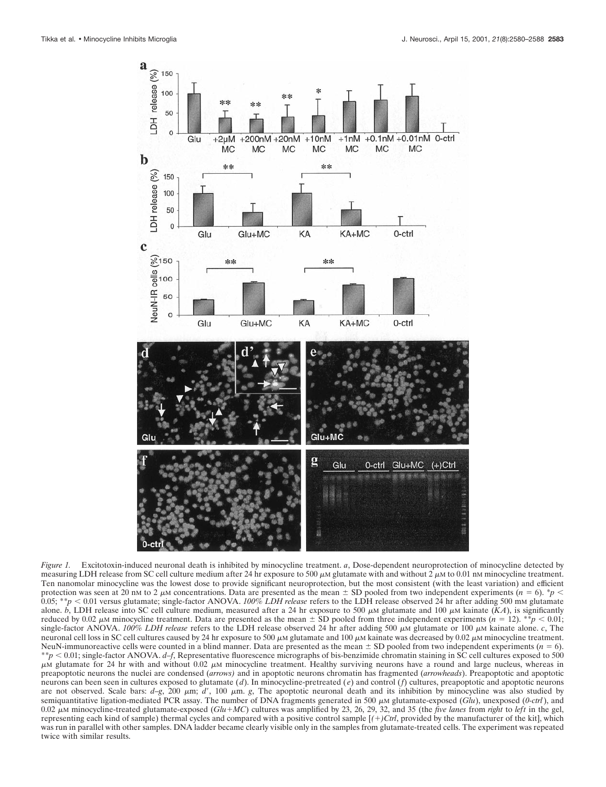

*Figure 1.* Excitotoxin-induced neuronal death is inhibited by minocycline treatment. *a*, Dose-dependent neuroprotection of minocycline detected by measuring LDH release from SC cell culture medium after 24 hr exposure to 500  $\mu$ M glutamate with and without 2  $\mu$ M to 0.01 nM minocycline treatment. Ten nanomolar minocycline was the lowest dose to provide significant neuroprotection, but the most consistent (with the least variation) and efficient protection was seen at 20 nm to 2  $\mu$ m concentrations. Data are presented as the mean  $\pm$  SD pooled from two independent experiments ( $n = 6$ ). \**p* <  $0.05$ ; \*\* $p < 0.01$  versus glutamate; single-factor ANOVA. *100% LDH release* refers to the LDH release observed 24 hr after adding 500 mm glutamate alone.  $\bar{b}$ , LDH release into SC cell culture medium, measured after a 24 hr exposure to 500  $\mu$ M glutamate and 100  $\mu$ M kainate (*KA*), is significantly reduced by 0.02  $\mu$ M minocycline treatment. Data are presented as the mean  $\pm$  SD pooled from three independent experiments (*n* = 12). \*\**p* < 0.01; single-factor ANOVA. *100% LDH release* refers to the LDH release observed 24 hr after adding 500  $\mu$ M glutamate or 100  $\mu$ M kainate alone. *c*, The neuronal cell loss in SC cell cultures caused by 24 hr exposure to 500  $\mu$ M glutamate and 100  $\mu$ M kainate was decreased by 0.02  $\mu$ M minocycline treatment. NeuN-immunoreactive cells were counted in a blind manner. Data are presented as the mean  $\pm$  SD pooled from two independent experiments ( $n = 6$ ). \*\**p* , 0.01; single-factor ANOVA. *d–f*, Representative fluorescence micrographs of bis-benzimide chromatin staining in SC cell cultures exposed to 500  $\mu$ M glutamate for 24 hr with and without 0.02  $\mu$ M minocycline treatment. Healthy surviving neurons have a round and large nucleus, whereas in preapoptotic neurons the nuclei are condensed (*arrows)* and in apoptotic neurons chromatin has fragmented (*arrowheads*). Preapoptotic and apoptotic neurons can been seen in cultures exposed to glutamate (*d*). In minocycline-pretreated ( *e*) and control (*f*) cultures, preapoptotic and apoptotic neurons are not observed. Scale bars:  $d-g$ , 200  $\mu$ m;  $d'$ , 100  $\mu$ m;  $g$ , The apoptotic neuronal death and its inhibition by minocycline was also studied by semiquantitative ligation-mediated PCR assay. The number of DNA fragments generated in 500  $\mu$ M glutamate-exposed (*Glu*), unexposed (*0-ctrl*), and 0.02 <sup>m</sup>M minocycline-treated glutamate-exposed (*Glu*1*MC*) cultures was amplified by 23, 26, 29, 32, and 35 (the *five lanes* from *right* to *left* in the gel, representing each kind of sample) thermal cycles and compared with a positive control sample [*(*1*)Ctrl*, provided by the manufacturer of the kit], which was run in parallel with other samples. DNA ladder became clearly visible only in the samples from glutamate-treated cells. The experiment was repeated twice with similar results.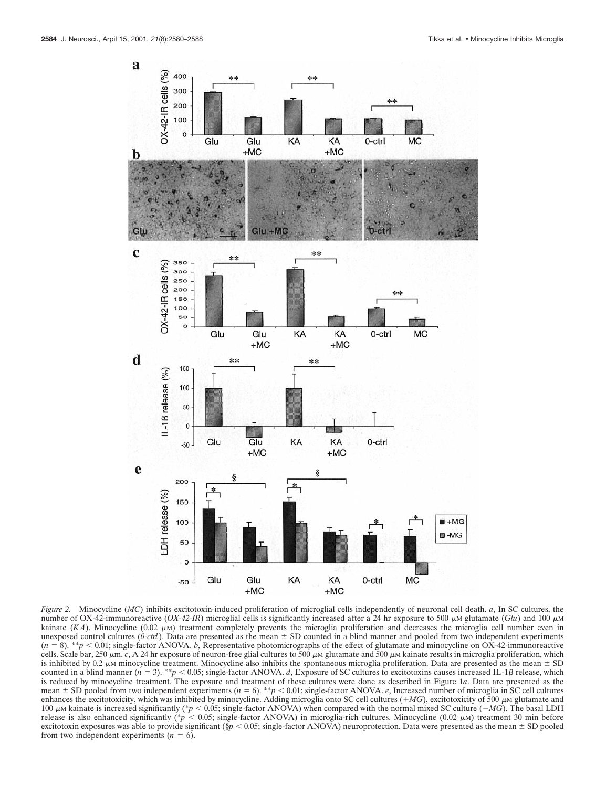

*Figure 2.* Minocycline (*MC*) inhibits excitotoxin-induced proliferation of microglial cells independently of neuronal cell death. *a*, In SC cultures, the number of OX-42-immunoreactive  $(OX-42-IR)$  microglial cells is significantly increased after a 24 hr exposure to 500  $\mu$ M glutamate (*Glu*) and 100  $\mu$ M kainate  $(KA)$ . Minocycline  $(0.02 \mu M)$  treatment completely prevents the microglia proliferation and decreases the microglia cell number even in unexposed control cultures  $(0$ -ctrl). Data are presented as the mean  $\pm$  SD counted in a blind manner and pooled from two independent experiments  $(n = 8)$ . \*\*p < 0.01; single-factor ANOVA. *b*, Representative photomicrographs of the effect of glutamate and minocycline on OX-42-immunoreactive cells. Scale bar, 250  $\mu$ m. *c*, A 24 hr exposure of neuron-free glial cultures to 500  $\mu$ M glutamate and 500  $\mu$ M kainate results in microglia proliferation, which is inhibited by 0.2  $\mu$ M minocycline treatment. Minocycline also inhibits the spontaneous microglia proliferation. Data are presented as the mean  $\pm$  SD counted in a blind manner  $(n = 3)$ . \*\**p* < 0.05; single-factor ANOVA. *d*, Exposure of SC cultures to excitotoxins causes increased IL-1 $\beta$  release, which is reduced by minocycline treatment. The exposure and treatment of these cultures were done as described in Figure 1*a*. Data are presented as the mean  $\pm$  SD pooled from two independent experiments ( $n = 6$ ). \*\* $p < 0.01$ ; single-factor ANOVA. *e*, Increased number of microglia in SC cell cultures enhances the excitotoxicity, which was inhibited by minocycline. Adding microglia onto SC cell cultures  $(+MG)$ , excitotoxicity of 500  $\mu$ M glutamate and 100  $\mu$ M kainate is increased significantly (\* $p < 0.05$ ; single-factor ANOVA) when compared with the normal mixed SC culture ( $-MG$ ). The basal LDH release is also enhanced significantly (\*p < 0.05; single-factor ANOVA) in microglia-rich cultures. Minocycline (0.02 μM) treatment 30 min before excitotoxin exposures was able to provide significant ( $\frac{6p}{6}$  < 0.05; single-factor ANOVA) neuroprotection. Data were presented as the mean  $\pm$  SD pooled from two independent experiments  $(n = 6)$ .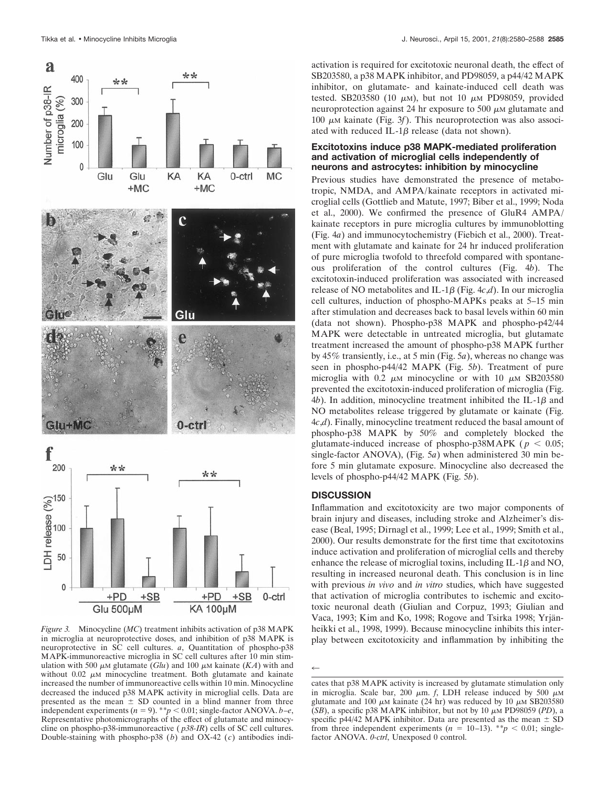

*Figure 3.* Minocycline (*MC*) treatment inhibits activation of p38 MAPK in microglia at neuroprotective doses, and inhibition of p38 MAPK is neuroprotective in SC cell cultures. *a*, Quantitation of phospho-p38 MAPK-immunoreactive microglia in SC cell cultures after 10 min stimulation with 500  $\mu$ M glutamate (*Glu*) and 100  $\mu$ M kainate (*KA*) with and without  $0.02 \mu$ M minocycline treatment. Both glutamate and kainate increased the number of immunoreactive cells within 10 min. Minocycline decreased the induced p38 MAPK activity in microglial cells. Data are presented as the mean  $\pm$  SD counted in a blind manner from three independent experiments ( $n = 9$ ). \*\* $p < 0.01$ ; single-factor ANOVA. *b*–*e*, Representative photomicrographs of the effect of glutamate and minocycline on phospho-p38-immunoreactive ( *p38-IR*) cells of SC cell cultures. Double-staining with phospho-p38 (*b*) and OX-42 (*c*) antibodies indi-

activation is required for excitotoxic neuronal death, the effect of SB203580, a p38 MAPK inhibitor, and PD98059, a p44/42 MAPK inhibitor, on glutamate- and kainate-induced cell death was tested. SB203580 (10  $\mu$ M), but not 10  $\mu$ M PD98059, provided neuroprotection against 24 hr exposure to 500  $\mu$ M glutamate and 100  $\mu$ M kainate (Fig. 3*f*). This neuroprotection was also associated with reduced IL-1 $\beta$  release (data not shown).

## **Excitotoxins induce p38 MAPK-mediated proliferation and activation of microglial cells independently of neurons and astrocytes: inhibition by minocycline**

Previous studies have demonstrated the presence of metabotropic, NMDA, and AMPA/kainate receptors in activated microglial cells (Gottlieb and Matute, 1997; Biber et al., 1999; Noda et al., 2000). We confirmed the presence of GluR4 AMPA/ kainate receptors in pure microglia cultures by immunoblotting (Fig. 4*a*) and immunocytochemistry (Fiebich et al., 2000). Treatment with glutamate and kainate for 24 hr induced proliferation of pure microglia twofold to threefold compared with spontaneous proliferation of the control cultures (Fig. 4*b*). The excitotoxin-induced proliferation was associated with increased release of NO metabolites and IL-1 $\beta$  (Fig. 4*c*,*d*). In our microglia cell cultures, induction of phospho-MAPKs peaks at 5–15 min after stimulation and decreases back to basal levels within 60 min (data not shown). Phospho-p38 MAPK and phospho-p42/44 MAPK were detectable in untreated microglia, but glutamate treatment increased the amount of phospho-p38 MAPK further by 45% transiently, i.e., at 5 min (Fig. 5*a*), whereas no change was seen in phospho-p44/42 MAPK (Fig. 5*b*). Treatment of pure microglia with 0.2  $\mu$ M minocycline or with 10  $\mu$ M SB203580 prevented the excitotoxin-induced proliferation of microglia (Fig.  $4b$ ). In addition, minocycline treatment inhibited the IL-1 $\beta$  and NO metabolites release triggered by glutamate or kainate (Fig. 4*c*,*d*). Finally, minocycline treatment reduced the basal amount of phospho-p38 MAPK by 50% and completely blocked the glutamate-induced increase of phospho-p38MAPK ( $p < 0.05$ ; single-factor ANOVA), (Fig. 5*a*) when administered 30 min before 5 min glutamate exposure. Minocycline also decreased the levels of phospho-p44/42 MAPK (Fig. 5*b*).

# **DISCUSSION**

Inflammation and excitotoxicity are two major components of brain injury and diseases, including stroke and Alzheimer's disease (Beal, 1995; Dirnagl et al., 1999; Lee et al., 1999; Smith et al., 2000). Our results demonstrate for the first time that excitotoxins induce activation and proliferation of microglial cells and thereby enhance the release of microglial toxins, including  $IL-1\beta$  and NO, resulting in increased neuronal death. This conclusion is in line with previous *in vivo* and *in vitro* studies, which have suggested that activation of microglia contributes to ischemic and excitotoxic neuronal death (Giulian and Corpuz, 1993; Giulian and Vaca, 1993; Kim and Ko, 1998; Rogove and Tsirka 1998; Yrjänheikki et al., 1998, 1999). Because minocycline inhibits this interplay between excitotoxicity and inflammation by inhibiting the

 $\leftarrow$ 

cates that p38 MAPK activity is increased by glutamate stimulation only in microglia. Scale bar, 200  $\mu$ m. *f*, LDH release induced by 500  $\mu$ M glutamate and 100  $\mu$ M kainate (24 hr) was reduced by 10  $\mu$ M SB203580 ( $SB$ ), a specific p38 MAPK inhibitor, but not by 10  $\mu$ M PD98059 (PD), a specific p44/42 MAPK inhibitor. Data are presented as the mean  $\pm$  SD from three independent experiments  $(n = 10-13)$ . \*\* $p < 0.01$ ; singlefactor ANOVA. *0-ctrl*, Unexposed 0 control.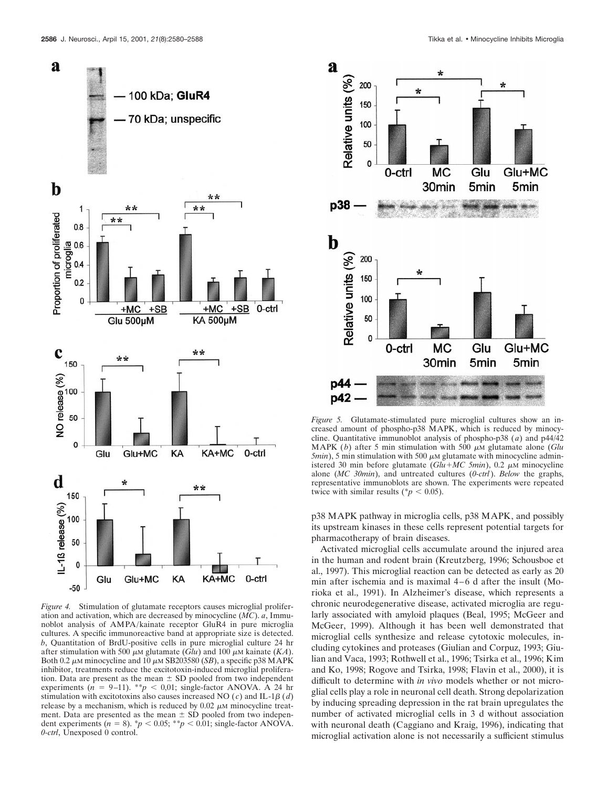

*Figure 4.* Stimulation of glutamate receptors causes microglial proliferation and activation, which are decreased by minocycline (*MC*). *a*, Immunoblot analysis of AMPA/kainate receptor GluR4 in pure microglia cultures. A specific immunoreactive band at appropriate size is detected. *b*, Quantitation of BrdU-positive cells in pure microglial culture 24 hr after stimulation with 500  $\mu$ M glutamate (*Glu*) and 100  $\mu$ M kainate (*KA*). Both 0.2  $\mu$ M minocycline and 10  $\mu$ M SB203580 (*SB*), a specific p38 MAPK inhibitor, treatments reduce the excitotoxin-induced microglial proliferation. Data are present as the mean  $\pm$  SD pooled from two independent experiments ( $n = 9-11$ ). \*\* $p < 0.01$ ; single-factor ANOVA. A 24 hr stimulation with excitotoxins also causes increased NO  $(c)$  and IL-1 $\beta$   $(d)$ release by a mechanism, which is reduced by  $0.02 \mu$ M minocycline treatment. Data are presented as the mean  $\pm$  SD pooled from two independent experiments  $(n = 8)$ . \* $p < 0.05$ ; \*\* $p < 0.01$ ; single-factor ANOVA. *0-ctrl*, Unexposed 0 control.



*Figure 5.* Glutamate-stimulated pure microglial cultures show an increased amount of phospho-p38 MAPK, which is reduced by minocycline. Quantitative immunoblot analysis of phospho-p38 (*a*) and p44/42 MAPK (b) after 5 min stimulation with 500  $\mu$ M glutamate alone (*Glu*  $5min$ ),  $5 min$  stimulation with  $500 \mu M$  glutamate with minocycline administered 30 min before glutamate  $(Glu+MC \ 5min)$ , 0.2  $\mu$ M minocycline alone (*MC 30min*), and untreated cultures (*0-ctrl*). *Below* the graphs, representative immunoblots are shown. The experiments were repeated twice with similar results ( $p < 0.05$ ).

p38 MAPK pathway in microglia cells, p38 MAPK, and possibly its upstream kinases in these cells represent potential targets for pharmacotherapy of brain diseases.

Activated microglial cells accumulate around the injured area in the human and rodent brain (Kreutzberg, 1996; Schousboe et al., 1997). This microglial reaction can be detected as early as 20 min after ischemia and is maximal 4–6 d after the insult (Morioka et al., 1991). In Alzheimer's disease, which represents a chronic neurodegenerative disease, activated microglia are regularly associated with amyloid plaques (Beal, 1995; McGeer and McGeer, 1999). Although it has been well demonstrated that microglial cells synthesize and release cytotoxic molecules, including cytokines and proteases (Giulian and Corpuz, 1993; Giulian and Vaca, 1993; Rothwell et al., 1996; Tsirka et al., 1996; Kim and Ko, 1998; Rogove and Tsirka, 1998; Flavin et al., 2000), it is difficult to determine with *in vivo* models whether or not microglial cells play a role in neuronal cell death. Strong depolarization by inducing spreading depression in the rat brain upregulates the number of activated microglial cells in 3 d without association with neuronal death (Caggiano and Kraig, 1996), indicating that microglial activation alone is not necessarily a sufficient stimulus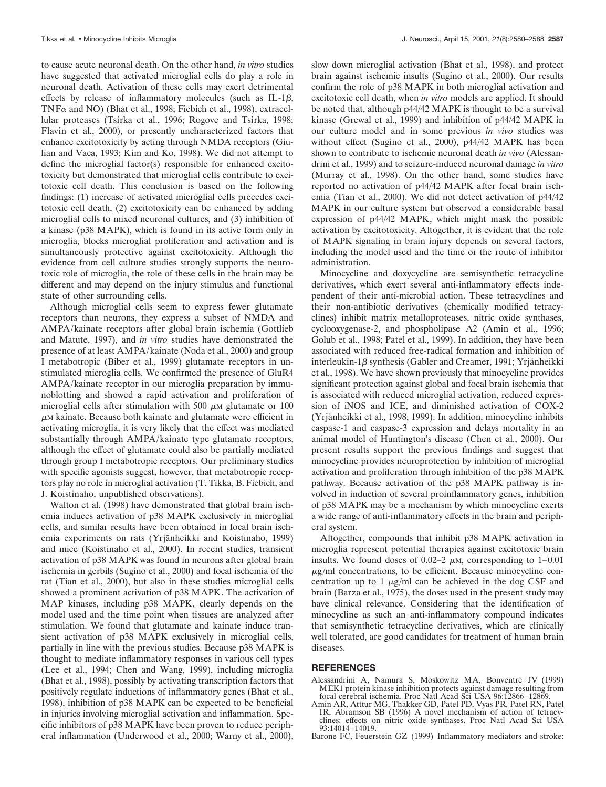to cause acute neuronal death. On the other hand, *in vitro* studies have suggested that activated microglial cells do play a role in neuronal death. Activation of these cells may exert detrimental effects by release of inflammatory molecules (such as IL-1 $\beta$ , TNF $\alpha$  and NO) (Bhat et al., 1998; Fiebich et al., 1998), extracellular proteases (Tsirka et al., 1996; Rogove and Tsirka, 1998; Flavin et al., 2000), or presently uncharacterized factors that enhance excitotoxicity by acting through NMDA receptors (Giulian and Vaca, 1993; Kim and Ko, 1998). We did not attempt to define the microglial factor(s) responsible for enhanced excitotoxicity but demonstrated that microglial cells contribute to excitotoxic cell death. This conclusion is based on the following findings: (1) increase of activated microglial cells precedes excitotoxic cell death, (2) excitotoxicity can be enhanced by adding microglial cells to mixed neuronal cultures, and (3) inhibition of a kinase (p38 MAPK), which is found in its active form only in microglia, blocks microglial proliferation and activation and is simultaneously protective against excitotoxicity. Although the evidence from cell culture studies strongly supports the neurotoxic role of microglia, the role of these cells in the brain may be different and may depend on the injury stimulus and functional state of other surrounding cells.

Although microglial cells seem to express fewer glutamate receptors than neurons, they express a subset of NMDA and AMPA/kainate receptors after global brain ischemia (Gottlieb and Matute, 1997), and *in vitro* studies have demonstrated the presence of at least AMPA/kainate (Noda et al., 2000) and group I metabotropic (Biber et al., 1999) glutamate receptors in unstimulated microglia cells. We confirmed the presence of GluR4 AMPA/kainate receptor in our microglia preparation by immunoblotting and showed a rapid activation and proliferation of microglial cells after stimulation with 500  $\mu$ M glutamate or 100  $\mu$ <sub>M</sub> kainate. Because both kainate and glutamate were efficient in activating microglia, it is very likely that the effect was mediated substantially through AMPA/kainate type glutamate receptors, although the effect of glutamate could also be partially mediated through group I metabotropic receptors. Our preliminary studies with specific agonists suggest, however, that metabotropic receptors play no role in microglial activation (T. Tikka, B. Fiebich, and J. Koistinaho, unpublished observations).

Walton et al. (1998) have demonstrated that global brain ischemia induces activation of p38 MAPK exclusively in microglial cells, and similar results have been obtained in focal brain ischemia experiments on rats (Yrjänheikki and Koistinaho, 1999) and mice (Koistinaho et al., 2000). In recent studies, transient activation of p38 MAPK was found in neurons after global brain ischemia in gerbils (Sugino et al., 2000) and focal ischemia of the rat (Tian et al., 2000), but also in these studies microglial cells showed a prominent activation of p38 MAPK. The activation of MAP kinases, including p38 MAPK, clearly depends on the model used and the time point when tissues are analyzed after stimulation. We found that glutamate and kainate induce transient activation of p38 MAPK exclusively in microglial cells, partially in line with the previous studies. Because p38 MAPK is thought to mediate inflammatory responses in various cell types (Lee et al., 1994; Chen and Wang, 1999), including microglia (Bhat et al., 1998), possibly by activating transcription factors that positively regulate inductions of inflammatory genes (Bhat et al., 1998), inhibition of p38 MAPK can be expected to be beneficial in injuries involving microglial activation and inflammation. Specific inhibitors of p38 MAPK have been proven to reduce peripheral inflammation (Underwood et al., 2000; Warny et al., 2000),

slow down microglial activation (Bhat et al., 1998), and protect brain against ischemic insults (Sugino et al., 2000). Our results confirm the role of p38 MAPK in both microglial activation and excitotoxic cell death, when *in vitro* models are applied. It should be noted that, although p44/42 MAPK is thought to be a survival kinase (Grewal et al., 1999) and inhibition of p44/42 MAPK in our culture model and in some previous *in vivo* studies was without effect (Sugino et al., 2000), p44/42 MAPK has been shown to contribute to ischemic neuronal death *in vivo* (Alessandrini et al., 1999) and to seizure-induced neuronal damage *in vitro* (Murray et al., 1998). On the other hand, some studies have reported no activation of p44/42 MAPK after focal brain ischemia (Tian et al., 2000). We did not detect activation of p44/42 MAPK in our culture system but observed a considerable basal expression of p44/42 MAPK, which might mask the possible activation by excitotoxicity. Altogether, it is evident that the role of MAPK signaling in brain injury depends on several factors, including the model used and the time or the route of inhibitor administration.

Minocycline and doxycycline are semisynthetic tetracycline derivatives, which exert several anti-inflammatory effects independent of their anti-microbial action. These tetracyclines and their non-antibiotic derivatives (chemically modified tetracyclines) inhibit matrix metalloproteases, nitric oxide synthases, cyclooxygenase-2, and phospholipase A2 (Amin et al., 1996; Golub et al., 1998; Patel et al., 1999). In addition, they have been associated with reduced free-radical formation and inhibition of interleukin-1 $\beta$  synthesis (Gabler and Creamer, 1991; Yrjänheikki et al., 1998). We have shown previously that minocycline provides significant protection against global and focal brain ischemia that is associated with reduced microglial activation, reduced expression of iNOS and ICE, and diminished activation of COX-2 (Yrjänheikki et al., 1998, 1999). In addition, minocycline inhibits caspase-1 and caspase-3 expression and delays mortality in an animal model of Huntington's disease (Chen et al., 2000). Our present results support the previous findings and suggest that minocycline provides neuroprotection by inhibition of microglial activation and proliferation through inhibition of the p38 MAPK pathway. Because activation of the p38 MAPK pathway is involved in induction of several proinflammatory genes, inhibition of p38 MAPK may be a mechanism by which minocycline exerts a wide range of anti-inflammatory effects in the brain and peripheral system.

Altogether, compounds that inhibit p38 MAPK activation in microglia represent potential therapies against excitotoxic brain insults. We found doses of 0.02–2  $\mu$ M, corresponding to 1–0.01  $\mu$ g/ml concentrations, to be efficient. Because minocycline concentration up to 1  $\mu$ g/ml can be achieved in the dog CSF and brain (Barza et al., 1975), the doses used in the present study may have clinical relevance. Considering that the identification of minocycline as such an anti-inflammatory compound indicates that semisynthetic tetracycline derivatives, which are clinically well tolerated, are good candidates for treatment of human brain diseases.

### **REFERENCES**

- Alessandrini A, Namura S, Moskowitz MA, Bonventre JV (1999) MEK1 protein kinase inhibition protects against damage resulting from focal cerebral ischemia. Proc Natl Acad Sci USA 96:12866–12869.
- Amin AR, Atttur MG, Thakker GD, Patel PD, Vyas PR, Patel RN, Patel IR, Abramson SB (1996) A novel mechanism of action of tetracyclines: effects on nitric oxide synthases. Proc Natl Acad Sci USA 93:14014–14019.
- Barone FC, Feuerstein GZ (1999) Inflammatory mediators and stroke: